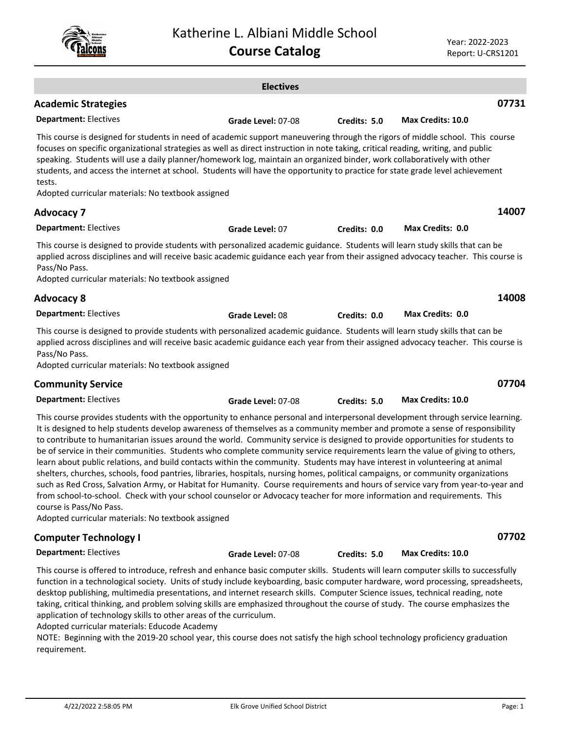Year: 2022-2023 Report: U-CRS1201

|                                                                                                                                                                                                                                                                                                                                                                                                                                                                                                                                                                                                                                                                                                                                                                                                                                                                                                                                                                                                                                                                                                                                                   | <b>Electives</b>   |              |                          |       |
|---------------------------------------------------------------------------------------------------------------------------------------------------------------------------------------------------------------------------------------------------------------------------------------------------------------------------------------------------------------------------------------------------------------------------------------------------------------------------------------------------------------------------------------------------------------------------------------------------------------------------------------------------------------------------------------------------------------------------------------------------------------------------------------------------------------------------------------------------------------------------------------------------------------------------------------------------------------------------------------------------------------------------------------------------------------------------------------------------------------------------------------------------|--------------------|--------------|--------------------------|-------|
| <b>Academic Strategies</b>                                                                                                                                                                                                                                                                                                                                                                                                                                                                                                                                                                                                                                                                                                                                                                                                                                                                                                                                                                                                                                                                                                                        |                    |              |                          | 07731 |
| <b>Department: Electives</b>                                                                                                                                                                                                                                                                                                                                                                                                                                                                                                                                                                                                                                                                                                                                                                                                                                                                                                                                                                                                                                                                                                                      |                    |              | Max Credits: 10.0        |       |
| This course is designed for students in need of academic support maneuvering through the rigors of middle school. This course<br>focuses on specific organizational strategies as well as direct instruction in note taking, critical reading, writing, and public<br>speaking. Students will use a daily planner/homework log, maintain an organized binder, work collaboratively with other<br>students, and access the internet at school. Students will have the opportunity to practice for state grade level achievement<br>tests.                                                                                                                                                                                                                                                                                                                                                                                                                                                                                                                                                                                                          | Grade Level: 07-08 | Credits: 5.0 |                          |       |
| Adopted curricular materials: No textbook assigned                                                                                                                                                                                                                                                                                                                                                                                                                                                                                                                                                                                                                                                                                                                                                                                                                                                                                                                                                                                                                                                                                                |                    |              |                          |       |
| <b>Advocacy 7</b>                                                                                                                                                                                                                                                                                                                                                                                                                                                                                                                                                                                                                                                                                                                                                                                                                                                                                                                                                                                                                                                                                                                                 |                    |              |                          | 14007 |
| <b>Department: Electives</b>                                                                                                                                                                                                                                                                                                                                                                                                                                                                                                                                                                                                                                                                                                                                                                                                                                                                                                                                                                                                                                                                                                                      | Grade Level: 07    | Credits: 0.0 | <b>Max Credits: 0.0</b>  |       |
| This course is designed to provide students with personalized academic guidance. Students will learn study skills that can be<br>applied across disciplines and will receive basic academic guidance each year from their assigned advocacy teacher. This course is<br>Pass/No Pass.<br>Adopted curricular materials: No textbook assigned                                                                                                                                                                                                                                                                                                                                                                                                                                                                                                                                                                                                                                                                                                                                                                                                        |                    |              |                          |       |
| <b>Advocacy 8</b>                                                                                                                                                                                                                                                                                                                                                                                                                                                                                                                                                                                                                                                                                                                                                                                                                                                                                                                                                                                                                                                                                                                                 |                    |              |                          | 14008 |
| <b>Department: Electives</b>                                                                                                                                                                                                                                                                                                                                                                                                                                                                                                                                                                                                                                                                                                                                                                                                                                                                                                                                                                                                                                                                                                                      | Grade Level: 08    | Credits: 0.0 | <b>Max Credits: 0.0</b>  |       |
| This course is designed to provide students with personalized academic guidance. Students will learn study skills that can be<br>applied across disciplines and will receive basic academic guidance each year from their assigned advocacy teacher. This course is<br>Pass/No Pass.<br>Adopted curricular materials: No textbook assigned                                                                                                                                                                                                                                                                                                                                                                                                                                                                                                                                                                                                                                                                                                                                                                                                        |                    |              |                          |       |
| <b>Community Service</b>                                                                                                                                                                                                                                                                                                                                                                                                                                                                                                                                                                                                                                                                                                                                                                                                                                                                                                                                                                                                                                                                                                                          |                    |              |                          | 07704 |
| <b>Department: Electives</b>                                                                                                                                                                                                                                                                                                                                                                                                                                                                                                                                                                                                                                                                                                                                                                                                                                                                                                                                                                                                                                                                                                                      | Grade Level: 07-08 | Credits: 5.0 | <b>Max Credits: 10.0</b> |       |
| This course provides students with the opportunity to enhance personal and interpersonal development through service learning.<br>It is designed to help students develop awareness of themselves as a community member and promote a sense of responsibility<br>to contribute to humanitarian issues around the world. Community service is designed to provide opportunities for students to<br>be of service in their communities. Students who complete community service requirements learn the value of giving to others,<br>learn about public relations, and build contacts within the community. Students may have interest in volunteering at animal<br>shelters, churches, schools, food pantries, libraries, hospitals, nursing homes, political campaigns, or community organizations<br>such as Red Cross, Salvation Army, or Habitat for Humanity. Course requirements and hours of service vary from year-to-year and<br>from school-to-school. Check with your school counselor or Advocacy teacher for more information and requirements. This<br>course is Pass/No Pass.<br>Adopted curricular materials: No textbook assigned |                    |              |                          |       |
| <b>Computer Technology I</b>                                                                                                                                                                                                                                                                                                                                                                                                                                                                                                                                                                                                                                                                                                                                                                                                                                                                                                                                                                                                                                                                                                                      |                    |              |                          | 07702 |

**Department:** Electives

This course is offered to introduce, refresh and enhance basic computer skills. Students will learn computer skills to successfully function in a technological society. Units of study include keyboarding, basic computer hardware, word processing, spreadsheets, desktop publishing, multimedia presentations, and internet research skills. Computer Science issues, technical reading, note taking, critical thinking, and problem solving skills are emphasized throughout the course of study. The course emphasizes the application of technology skills to other areas of the curriculum.

**Grade Level:** 07-08 **Credits: 5.0 Max Credits: 10.0**

Adopted curricular materials: Educode Academy

NOTE: Beginning with the 2019-20 school year, this course does not satisfy the high school technology proficiency graduation requirement.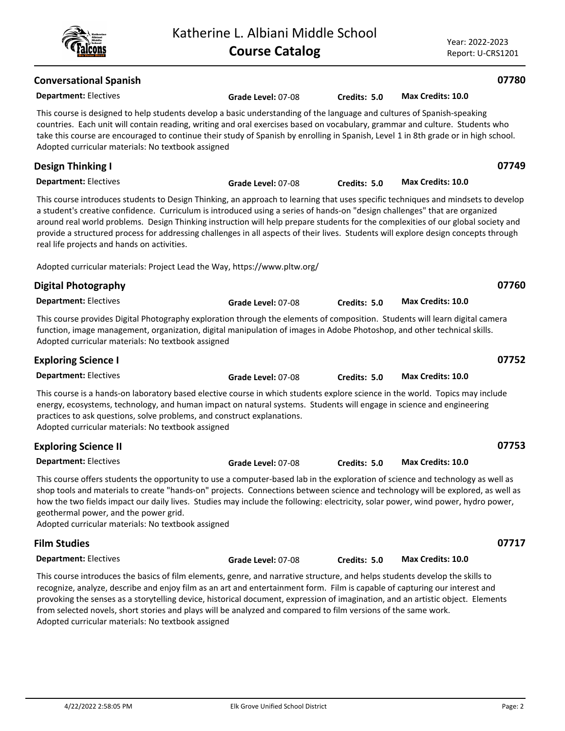| <b>Conversational Spanish</b>                                                                                                                                                                                                                                                                                                                                                                                                                                                                                                                                                               |                    |              |                          | 07780 |
|---------------------------------------------------------------------------------------------------------------------------------------------------------------------------------------------------------------------------------------------------------------------------------------------------------------------------------------------------------------------------------------------------------------------------------------------------------------------------------------------------------------------------------------------------------------------------------------------|--------------------|--------------|--------------------------|-------|
| <b>Department: Electives</b>                                                                                                                                                                                                                                                                                                                                                                                                                                                                                                                                                                | Grade Level: 07-08 | Credits: 5.0 | Max Credits: 10.0        |       |
| This course is designed to help students develop a basic understanding of the language and cultures of Spanish-speaking<br>countries. Each unit will contain reading, writing and oral exercises based on vocabulary, grammar and culture. Students who<br>take this course are encouraged to continue their study of Spanish by enrolling in Spanish, Level 1 in 8th grade or in high school.<br>Adopted curricular materials: No textbook assigned                                                                                                                                        |                    |              |                          |       |
| <b>Design Thinking I</b>                                                                                                                                                                                                                                                                                                                                                                                                                                                                                                                                                                    |                    |              |                          | 07749 |
| <b>Department: Electives</b>                                                                                                                                                                                                                                                                                                                                                                                                                                                                                                                                                                | Grade Level: 07-08 | Credits: 5.0 | <b>Max Credits: 10.0</b> |       |
| This course introduces students to Design Thinking, an approach to learning that uses specific techniques and mindsets to develop<br>a student's creative confidence. Curriculum is introduced using a series of hands-on "design challenges" that are organized<br>around real world problems. Design Thinking instruction will help prepare students for the complexities of our global society and<br>provide a structured process for addressing challenges in all aspects of their lives. Students will explore design concepts through<br>real life projects and hands on activities. |                    |              |                          |       |
| Adopted curricular materials: Project Lead the Way, https://www.pltw.org/                                                                                                                                                                                                                                                                                                                                                                                                                                                                                                                   |                    |              |                          |       |
| <b>Digital Photography</b>                                                                                                                                                                                                                                                                                                                                                                                                                                                                                                                                                                  |                    |              |                          | 07760 |
| <b>Department: Electives</b>                                                                                                                                                                                                                                                                                                                                                                                                                                                                                                                                                                | Grade Level: 07-08 | Credits: 5.0 | <b>Max Credits: 10.0</b> |       |
| This course provides Digital Photography exploration through the elements of composition. Students will learn digital camera<br>function, image management, organization, digital manipulation of images in Adobe Photoshop, and other technical skills.<br>Adopted curricular materials: No textbook assigned                                                                                                                                                                                                                                                                              |                    |              |                          |       |
| <b>Exploring Science I</b>                                                                                                                                                                                                                                                                                                                                                                                                                                                                                                                                                                  |                    |              |                          | 07752 |
| <b>Department: Electives</b>                                                                                                                                                                                                                                                                                                                                                                                                                                                                                                                                                                | Grade Level: 07-08 | Credits: 5.0 | Max Credits: 10.0        |       |
| This course is a hands-on laboratory based elective course in which students explore science in the world. Topics may include<br>energy, ecosystems, technology, and human impact on natural systems. Students will engage in science and engineering<br>practices to ask questions, solve problems, and construct explanations.<br>Adopted curricular materials: No textbook assigned                                                                                                                                                                                                      |                    |              |                          |       |
| <b>Exploring Science II</b>                                                                                                                                                                                                                                                                                                                                                                                                                                                                                                                                                                 |                    |              |                          | 07753 |
| <b>Department: Electives</b>                                                                                                                                                                                                                                                                                                                                                                                                                                                                                                                                                                | Grade Level: 07-08 | Credits: 5.0 | <b>Max Credits: 10.0</b> |       |
| This course offers students the opportunity to use a computer-based lab in the exploration of science and technology as well as<br>shop tools and materials to create "hands-on" projects. Connections between science and technology will be explored, as well as<br>how the two fields impact our daily lives. Studies may include the following: electricity, solar power, wind power, hydro power,<br>geothermal power, and the power grid.<br>Adopted curricular materials: No textbook assigned                                                                                       |                    |              |                          |       |
| <b>Film Studies</b>                                                                                                                                                                                                                                                                                                                                                                                                                                                                                                                                                                         |                    |              |                          | 07717 |
| <b>Department: Electives</b>                                                                                                                                                                                                                                                                                                                                                                                                                                                                                                                                                                | Grade Level: 07-08 | Credits: 5.0 | Max Credits: 10.0        |       |
| This course introduces the basics of film elements, genre, and narrative structure, and helps students develop the skills to<br>recognize, analyze, describe and enjoy film as an art and entertainment form. Film is capable of capturing our interest and<br>provoking the senses as a storytelling device, historical document, expression of imagination, and an artistic object. Elements<br>from selected novels, short stories and plays will be analyzed and compared to film versions of the same work.                                                                            |                    |              |                          |       |

Katherine L. Albiani Middle School

**Course Catalog**

Adopted curricular materials: No textbook assigned



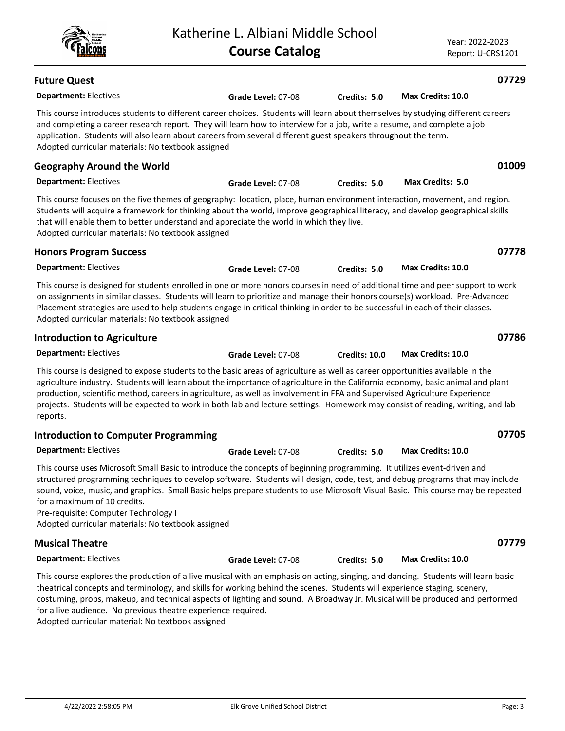| <b>Future Quest</b>                                                                                                                                                                                                                                                                                                                                                                                                                                                                                                                           |                    |                      |                          | 07729 |
|-----------------------------------------------------------------------------------------------------------------------------------------------------------------------------------------------------------------------------------------------------------------------------------------------------------------------------------------------------------------------------------------------------------------------------------------------------------------------------------------------------------------------------------------------|--------------------|----------------------|--------------------------|-------|
| <b>Department: Electives</b>                                                                                                                                                                                                                                                                                                                                                                                                                                                                                                                  | Grade Level: 07-08 | Credits: 5.0         | <b>Max Credits: 10.0</b> |       |
| This course introduces students to different career choices. Students will learn about themselves by studying different careers<br>and completing a career research report. They will learn how to interview for a job, write a resume, and complete a job<br>application. Students will also learn about careers from several different guest speakers throughout the term.<br>Adopted curricular materials: No textbook assigned                                                                                                            |                    |                      |                          |       |
| <b>Geography Around the World</b>                                                                                                                                                                                                                                                                                                                                                                                                                                                                                                             |                    |                      |                          | 01009 |
| <b>Department: Electives</b>                                                                                                                                                                                                                                                                                                                                                                                                                                                                                                                  | Grade Level: 07-08 | Credits: 5.0         | Max Credits: 5.0         |       |
| This course focuses on the five themes of geography: location, place, human environment interaction, movement, and region.<br>Students will acquire a framework for thinking about the world, improve geographical literacy, and develop geographical skills<br>that will enable them to better understand and appreciate the world in which they live.<br>Adopted curricular materials: No textbook assigned                                                                                                                                 |                    |                      |                          |       |
| <b>Honors Program Success</b>                                                                                                                                                                                                                                                                                                                                                                                                                                                                                                                 |                    |                      |                          | 07778 |
| <b>Department: Electives</b>                                                                                                                                                                                                                                                                                                                                                                                                                                                                                                                  | Grade Level: 07-08 | Credits: 5.0         | Max Credits: 10.0        |       |
| This course is designed for students enrolled in one or more honors courses in need of additional time and peer support to work<br>on assignments in similar classes. Students will learn to prioritize and manage their honors course(s) workload. Pre-Advanced<br>Placement strategies are used to help students engage in critical thinking in order to be successful in each of their classes.<br>Adopted curricular materials: No textbook assigned                                                                                      |                    |                      |                          |       |
| <b>Introduction to Agriculture</b>                                                                                                                                                                                                                                                                                                                                                                                                                                                                                                            |                    |                      |                          | 07786 |
| <b>Department: Electives</b>                                                                                                                                                                                                                                                                                                                                                                                                                                                                                                                  | Grade Level: 07-08 | <b>Credits: 10.0</b> | <b>Max Credits: 10.0</b> |       |
| This course is designed to expose students to the basic areas of agriculture as well as career opportunities available in the<br>agriculture industry. Students will learn about the importance of agriculture in the California economy, basic animal and plant<br>production, scientific method, careers in agriculture, as well as involvement in FFA and Supervised Agriculture Experience<br>projects. Students will be expected to work in both lab and lecture settings. Homework may consist of reading, writing, and lab<br>reports. |                    |                      |                          |       |
| <b>Introduction to Computer Programming</b>                                                                                                                                                                                                                                                                                                                                                                                                                                                                                                   |                    |                      |                          | 07705 |
| <b>Department: Electives</b>                                                                                                                                                                                                                                                                                                                                                                                                                                                                                                                  | Grade Level: 07-08 | Credits: 5.0         | Max Credits: 10.0        |       |
| This course uses Microsoft Small Basic to introduce the concepts of beginning programming. It utilizes event-driven and<br>structured programming techniques to develop software. Students will design, code, test, and debug programs that may include<br>sound, voice, music, and graphics. Small Basic helps prepare students to use Microsoft Visual Basic. This course may be repeated<br>for a maximum of 10 credits.<br>Pre-requisite: Computer Technology I<br>Adopted curricular materials: No textbook assigned                     |                    |                      |                          |       |
| <b>Musical Theatre</b>                                                                                                                                                                                                                                                                                                                                                                                                                                                                                                                        |                    |                      |                          | 07779 |
| <b>Department: Electives</b>                                                                                                                                                                                                                                                                                                                                                                                                                                                                                                                  | Grade Level: 07-08 | Credits: 5.0         | Max Credits: 10.0        |       |
| This course explores the production of a live musical with an emphasis on acting, singing, and dancing. Students will learn basic<br>theatrical concepts and terminology, and skills for working behind the scenes. Students will experience staging, scenery,<br>costuming, props, makeup, and technical aspects of lighting and sound. A Broadway Jr. Musical will be produced and performed<br>for a live audience. No previous theatre experience required.                                                                               |                    |                      |                          |       |

Adopted curricular material: No textbook assigned

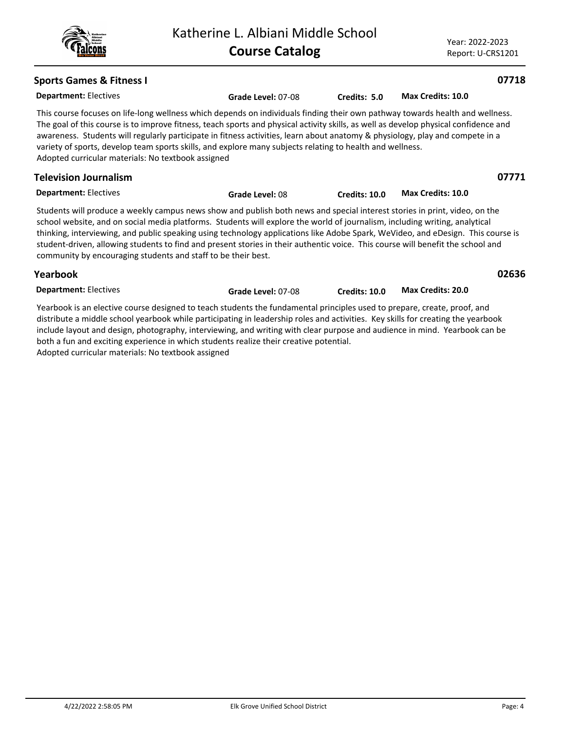### Year: 2022-2023 Report: U-CRS1201

thinking, interviewing, and public speaking using technology applications like Adobe Spark, WeVideo, and eDesign. This course is student-driven, allowing students to find and present stories in their authentic voice. This course will benefit the school and community by encouraging students and staff to be their best.

**Grade Level:** 08 **Credits: 10.0 Max Credits: 10.0**

| Yearbook                     |                    |                      |                          |
|------------------------------|--------------------|----------------------|--------------------------|
| <b>Department: Electives</b> | Grade Level: 07-08 | <b>Credits: 10.0</b> | <b>Max Credits: 20.0</b> |

Yearbook is an elective course designed to teach students the fundamental principles used to prepare, create, proof, and distribute a middle school yearbook while participating in leadership roles and activities. Key skills for creating the yearbook include layout and design, photography, interviewing, and writing with clear purpose and audience in mind. Yearbook can be both a fun and exciting experience in which students realize their creative potential. Adopted curricular materials: No textbook assigned

# **Sports Games & Fitness I**

**Department:** Electives This course focuses on life-long wellness which depends on individuals finding their own pathway towards health and wellness. The goal of this course is to improve fitness, teach sports and physical activity skills, as well as develop physical confidence and awareness. Students will regularly participate in fitness activities, learn about anatomy & physiology, play and compete in a variety of sports, develop team sports skills, and explore many subjects relating to health and wellness. Adopted curricular materials: No textbook assigned **Grade Level:** 07-08 **Credits: 5.0 Max Credits: 10.0**

| Students will produce a weekly can |  |  |
|------------------------------------|--|--|

**Department:** Electives

**Television Journalism**

eekly campus news show and publish both news and special interest stories in print, video, on the

school website, and on social media platforms. Students will explore the world of journalism, including writing, analytical



# **07718**

**02636**

**07771**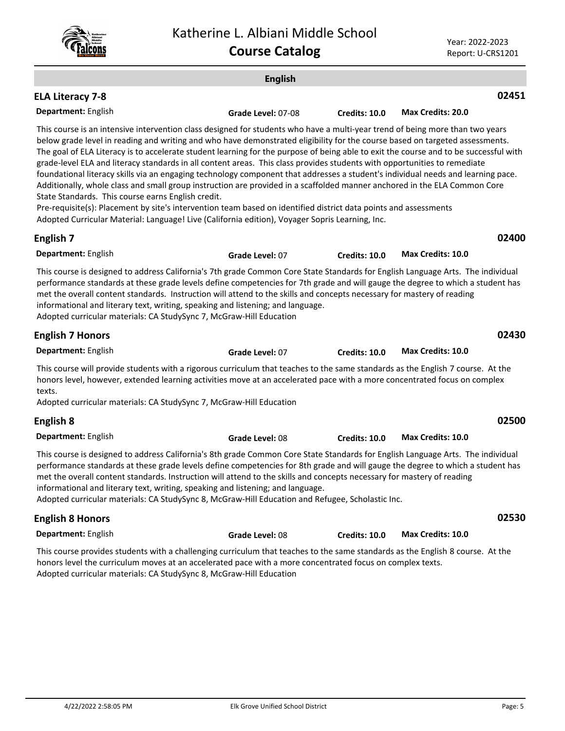### **English Department:** English **02451** This course is an intensive intervention class designed for students who have a multi-year trend of being more than two years below grade level in reading and writing and who have demonstrated eligibility for the course based on targeted assessments. The goal of ELA Literacy is to accelerate student learning for the purpose of being able to exit the course and to be successful with grade-level ELA and literacy standards in all content areas. This class provides students with opportunities to remediate foundational literacy skills via an engaging technology component that addresses a student's individual needs and learning pace. Additionally, whole class and small group instruction are provided in a scaffolded manner anchored in the ELA Common Core State Standards. This course earns English credit. Pre-requisite(s): Placement by site's intervention team based on identified district data points and assessments Adopted Curricular Material: Language! Live (California edition), Voyager Sopris Learning, Inc. **ELA Literacy 7-8 Grade Level:** 07-08 **Credits: 10.0 Max Credits: 20.0 Department:** English **02400** This course is designed to address California's 7th grade Common Core State Standards for English Language Arts. The individual performance standards at these grade levels define competencies for 7th grade and will gauge the degree to which a student has met the overall content standards. Instruction will attend to the skills and concepts necessary for mastery of reading informational and literary text, writing, speaking and listening; and language. Adopted curricular materials: CA StudySync 7, McGraw-Hill Education **English 7 Grade Level:** 07 **Credits: 10.0 Max Credits: 10.0 Department:** English **02430** This course will provide students with a rigorous curriculum that teaches to the same standards as the English 7 course. At the honors level, however, extended learning activities move at an accelerated pace with a more concentrated focus on complex texts. Adopted curricular materials: CA StudySync 7, McGraw-Hill Education **English 7 Honors Grade Level:** 07 **Credits: 10.0 Max Credits: 10.0 Department:** English **02500** This course is designed to address California's 8th grade Common Core State Standards for English Language Arts. The individual performance standards at these grade levels define competencies for 8th grade and will gauge the degree to which a student has met the overall content standards. Instruction will attend to the skills and concepts necessary for mastery of reading informational and literary text, writing, speaking and listening; and language. **English 8 Grade Level:** 08 **Credits: 10.0 Max Credits: 10.0**

Adopted curricular materials: CA StudySync 8, McGraw-Hill Education and Refugee, Scholastic Inc.

#### **Department:** English **02530** This course provides students with a challenging curriculum that teaches to the same standards as the English 8 course. At the **English 8 Honors Grade Level:** 08 **Credits: 10.0 Max Credits: 10.0**

honors level the curriculum moves at an accelerated pace with a more concentrated focus on complex texts. Adopted curricular materials: CA StudySync 8, McGraw-Hill Education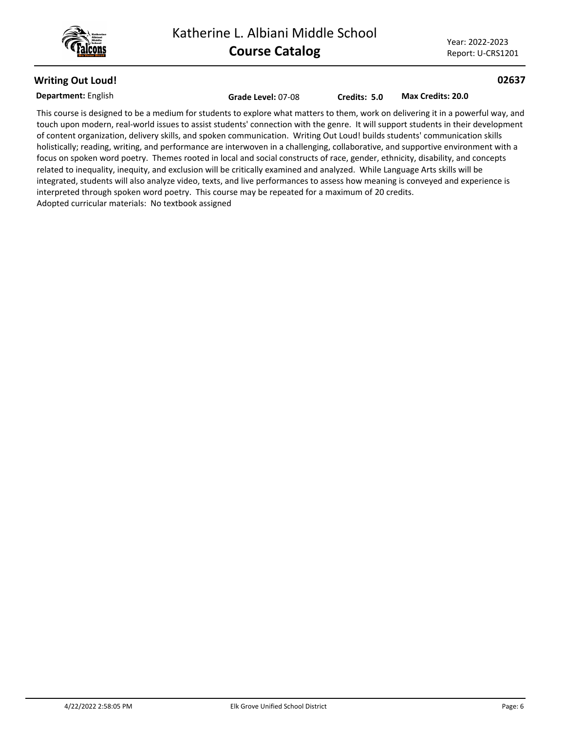

**02637**

# **Writing Out Loud!**

**Department:** English

**Grade Level:** 07-08 **Credits: 5.0 Max Credits: 20.0**

This course is designed to be a medium for students to explore what matters to them, work on delivering it in a powerful way, and touch upon modern, real-world issues to assist students' connection with the genre. It will support students in their development of content organization, delivery skills, and spoken communication. Writing Out Loud! builds students' communication skills holistically; reading, writing, and performance are interwoven in a challenging, collaborative, and supportive environment with a focus on spoken word poetry. Themes rooted in local and social constructs of race, gender, ethnicity, disability, and concepts related to inequality, inequity, and exclusion will be critically examined and analyzed. While Language Arts skills will be integrated, students will also analyze video, texts, and live performances to assess how meaning is conveyed and experience is interpreted through spoken word poetry. This course may be repeated for a maximum of 20 credits. Adopted curricular materials: No textbook assigned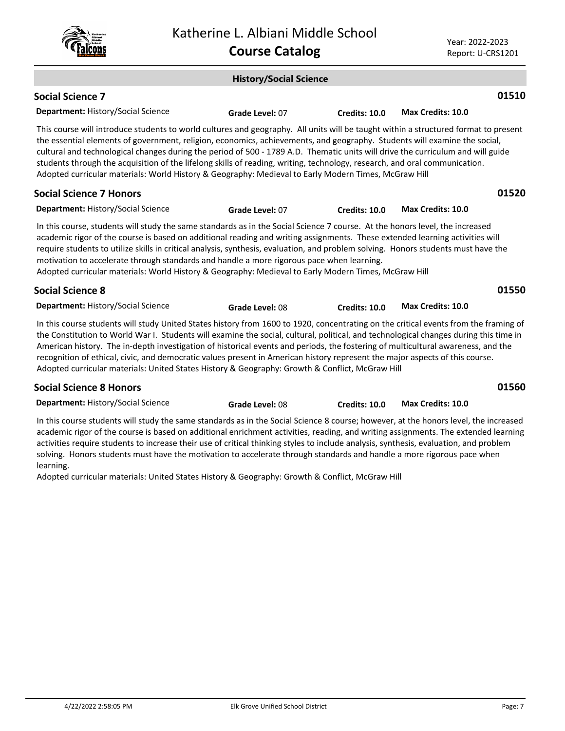|                                                                                                                                                                                                                                                                                                                                                                                                                                                                                                                                                                                                                                           |  | Katherine L. Albiani Middle School<br><b>Course Catalog</b> |                      | Year: 2022-2023<br>Report: U-CRS1201                                                                                                                                                                                                                                                                                                                                                                                |  |
|-------------------------------------------------------------------------------------------------------------------------------------------------------------------------------------------------------------------------------------------------------------------------------------------------------------------------------------------------------------------------------------------------------------------------------------------------------------------------------------------------------------------------------------------------------------------------------------------------------------------------------------------|--|-------------------------------------------------------------|----------------------|---------------------------------------------------------------------------------------------------------------------------------------------------------------------------------------------------------------------------------------------------------------------------------------------------------------------------------------------------------------------------------------------------------------------|--|
|                                                                                                                                                                                                                                                                                                                                                                                                                                                                                                                                                                                                                                           |  | <b>History/Social Science</b>                               |                      |                                                                                                                                                                                                                                                                                                                                                                                                                     |  |
| <b>Social Science 7</b>                                                                                                                                                                                                                                                                                                                                                                                                                                                                                                                                                                                                                   |  |                                                             |                      | 01510                                                                                                                                                                                                                                                                                                                                                                                                               |  |
| <b>Department: History/Social Science</b>                                                                                                                                                                                                                                                                                                                                                                                                                                                                                                                                                                                                 |  | Grade Level: 07                                             | <b>Credits: 10.0</b> | <b>Max Credits: 10.0</b>                                                                                                                                                                                                                                                                                                                                                                                            |  |
| This course will introduce students to world cultures and geography. All units will be taught within a structured format to present<br>the essential elements of government, religion, economics, achievements, and geography. Students will examine the social,<br>cultural and technological changes during the period of 500 - 1789 A.D. Thematic units will drive the curriculum and will guide<br>students through the acquisition of the lifelong skills of reading, writing, technology, research, and oral communication.<br>Adopted curricular materials: World History & Geography: Medieval to Early Modern Times, McGraw Hill |  |                                                             |                      |                                                                                                                                                                                                                                                                                                                                                                                                                     |  |
| <b>Social Science 7 Honors</b>                                                                                                                                                                                                                                                                                                                                                                                                                                                                                                                                                                                                            |  |                                                             |                      | 01520                                                                                                                                                                                                                                                                                                                                                                                                               |  |
| Department: History/Social Science                                                                                                                                                                                                                                                                                                                                                                                                                                                                                                                                                                                                        |  | Grade Level: 07                                             | Credits: 10.0        | <b>Max Credits: 10.0</b>                                                                                                                                                                                                                                                                                                                                                                                            |  |
| In this course, students will study the same standards as in the Social Science 7 course. At the honors level, the increased<br>academic rigor of the course is based on additional reading and writing assignments. These extended learning activities will<br>motivation to accelerate through standards and handle a more rigorous pace when learning.<br>Adopted curricular materials: World History & Geography: Medieval to Early Modern Times, McGraw Hill                                                                                                                                                                         |  |                                                             |                      | require students to utilize skills in critical analysis, synthesis, evaluation, and problem solving. Honors students must have the                                                                                                                                                                                                                                                                                  |  |
| <b>Social Science 8</b>                                                                                                                                                                                                                                                                                                                                                                                                                                                                                                                                                                                                                   |  |                                                             |                      | 01550                                                                                                                                                                                                                                                                                                                                                                                                               |  |
| <b>Department: History/Social Science</b>                                                                                                                                                                                                                                                                                                                                                                                                                                                                                                                                                                                                 |  | Grade Level: 08                                             | <b>Credits: 10.0</b> | <b>Max Credits: 10.0</b>                                                                                                                                                                                                                                                                                                                                                                                            |  |
| recognition of ethical, civic, and democratic values present in American history represent the major aspects of this course.<br>Adopted curricular materials: United States History & Geography: Growth & Conflict, McGraw Hill                                                                                                                                                                                                                                                                                                                                                                                                           |  |                                                             |                      | In this course students will study United States history from 1600 to 1920, concentrating on the critical events from the framing of<br>the Constitution to World War I. Students will examine the social, cultural, political, and technological changes during this time in<br>American history. The in-depth investigation of historical events and periods, the fostering of multicultural awareness, and the   |  |
| <b>Social Science 8 Honors</b>                                                                                                                                                                                                                                                                                                                                                                                                                                                                                                                                                                                                            |  |                                                             |                      | 01560                                                                                                                                                                                                                                                                                                                                                                                                               |  |
| <b>Department: History/Social Science</b>                                                                                                                                                                                                                                                                                                                                                                                                                                                                                                                                                                                                 |  | Grade Level: 08                                             | Credits: 10.0        | <b>Max Credits: 10.0</b>                                                                                                                                                                                                                                                                                                                                                                                            |  |
| solving. Honors students must have the motivation to accelerate through standards and handle a more rigorous pace when<br>learning.<br>Adopted curricular materials: United States History & Geography: Growth & Conflict, McGraw Hill                                                                                                                                                                                                                                                                                                                                                                                                    |  |                                                             |                      | In this course students will study the same standards as in the Social Science 8 course; however, at the honors level, the increased<br>academic rigor of the course is based on additional enrichment activities, reading, and writing assignments. The extended learning<br>activities require students to increase their use of critical thinking styles to include analysis, synthesis, evaluation, and problem |  |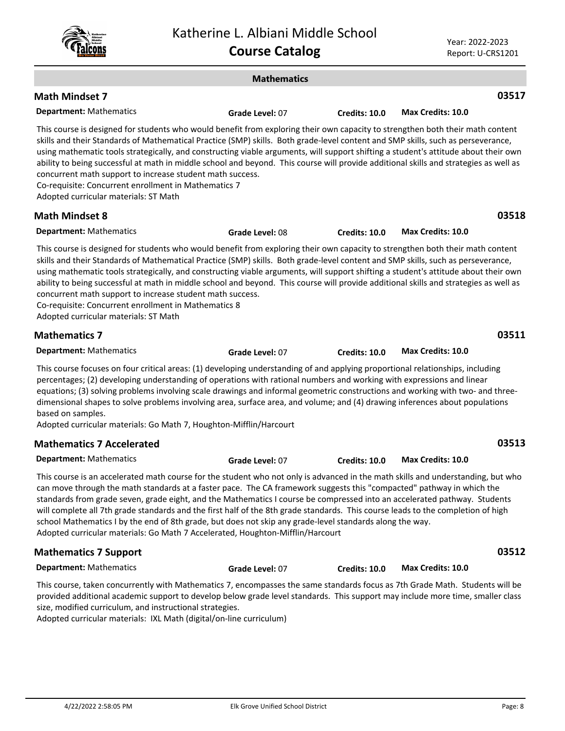Year: 2022-2023 Report: U-CRS1201

|                                                                                                                                                                                                                                                                                                                                                                                                                                                                                                                                                                                                                                                                                                                          | <b>Mathematics</b> |                      |                          |
|--------------------------------------------------------------------------------------------------------------------------------------------------------------------------------------------------------------------------------------------------------------------------------------------------------------------------------------------------------------------------------------------------------------------------------------------------------------------------------------------------------------------------------------------------------------------------------------------------------------------------------------------------------------------------------------------------------------------------|--------------------|----------------------|--------------------------|
| <b>Math Mindset 7</b>                                                                                                                                                                                                                                                                                                                                                                                                                                                                                                                                                                                                                                                                                                    |                    |                      | 03517                    |
| <b>Department: Mathematics</b>                                                                                                                                                                                                                                                                                                                                                                                                                                                                                                                                                                                                                                                                                           | Grade Level: 07    | <b>Credits: 10.0</b> | Max Credits: 10.0        |
| This course is designed for students who would benefit from exploring their own capacity to strengthen both their math content<br>skills and their Standards of Mathematical Practice (SMP) skills. Both grade-level content and SMP skills, such as perseverance,<br>using mathematic tools strategically, and constructing viable arguments, will support shifting a student's attitude about their own<br>ability to being successful at math in middle school and beyond. This course will provide additional skills and strategies as well as<br>concurrent math support to increase student math success.<br>Co-requisite: Concurrent enrollment in Mathematics 7<br>Adopted curricular materials: ST Math         |                    |                      |                          |
| <b>Math Mindset 8</b>                                                                                                                                                                                                                                                                                                                                                                                                                                                                                                                                                                                                                                                                                                    |                    |                      | 03518                    |
| <b>Department: Mathematics</b>                                                                                                                                                                                                                                                                                                                                                                                                                                                                                                                                                                                                                                                                                           | Grade Level: 08    | Credits: 10.0        | <b>Max Credits: 10.0</b> |
| This course is designed for students who would benefit from exploring their own capacity to strengthen both their math content<br>skills and their Standards of Mathematical Practice (SMP) skills. Both grade-level content and SMP skills, such as perseverance,<br>using mathematic tools strategically, and constructing viable arguments, will support shifting a student's attitude about their own<br>ability to being successful at math in middle school and beyond. This course will provide additional skills and strategies as well as<br>concurrent math support to increase student math success.<br>Co-requisite: Concurrent enrollment in Mathematics 8<br>Adopted curricular materials: ST Math         |                    |                      |                          |
| <b>Mathematics 7</b>                                                                                                                                                                                                                                                                                                                                                                                                                                                                                                                                                                                                                                                                                                     |                    |                      | 03511                    |
| <b>Department: Mathematics</b>                                                                                                                                                                                                                                                                                                                                                                                                                                                                                                                                                                                                                                                                                           | Grade Level: 07    | <b>Credits: 10.0</b> | <b>Max Credits: 10.0</b> |
| This course focuses on four critical areas: (1) developing understanding of and applying proportional relationships, including<br>percentages; (2) developing understanding of operations with rational numbers and working with expressions and linear<br>equations; (3) solving problems involving scale drawings and informal geometric constructions and working with two- and three-<br>dimensional shapes to solve problems involving area, surface area, and volume; and (4) drawing inferences about populations<br>based on samples.<br>Adopted curricular materials: Go Math 7, Houghton-Mifflin/Harcourt                                                                                                      |                    |                      |                          |
| <b>Mathematics 7 Accelerated</b>                                                                                                                                                                                                                                                                                                                                                                                                                                                                                                                                                                                                                                                                                         |                    |                      | 03513                    |
| <b>Department: Mathematics</b>                                                                                                                                                                                                                                                                                                                                                                                                                                                                                                                                                                                                                                                                                           | Grade Level: 07    | <b>Credits: 10.0</b> | Max Credits: 10.0        |
| This course is an accelerated math course for the student who not only is advanced in the math skills and understanding, but who<br>can move through the math standards at a faster pace. The CA framework suggests this "compacted" pathway in which the<br>standards from grade seven, grade eight, and the Mathematics I course be compressed into an accelerated pathway. Students<br>will complete all 7th grade standards and the first half of the 8th grade standards. This course leads to the completion of high<br>school Mathematics I by the end of 8th grade, but does not skip any grade-level standards along the way.<br>Adopted curricular materials: Go Math 7 Accelerated, Houghton-Mifflin/Harcourt |                    |                      |                          |
| <b>Mathematics 7 Support</b>                                                                                                                                                                                                                                                                                                                                                                                                                                                                                                                                                                                                                                                                                             |                    |                      | 03512                    |
| <b>Department: Mathematics</b>                                                                                                                                                                                                                                                                                                                                                                                                                                                                                                                                                                                                                                                                                           | Grade Level: 07    | Credits: 10.0        | Max Credits: 10.0        |
|                                                                                                                                                                                                                                                                                                                                                                                                                                                                                                                                                                                                                                                                                                                          |                    |                      |                          |

This course, taken concurrently with Mathematics 7, encompasses the same standards focus as 7th Grade Math. Students will be provided additional academic support to develop below grade level standards. This support may include more time, smaller class size, modified curriculum, and instructional strategies.

Adopted curricular materials: IXL Math (digital/on-line curriculum)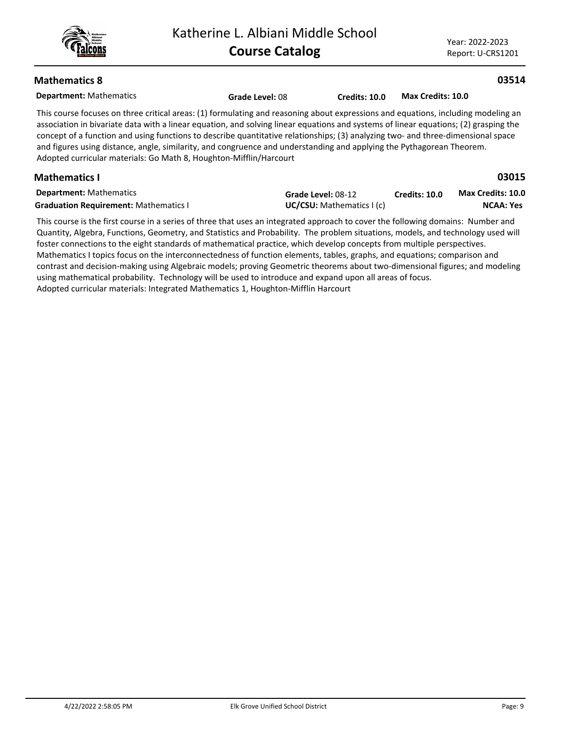**03514**

**03015**

# **Mathematics 8**

| <b>Department: Mathematics</b> |
|--------------------------------|
|--------------------------------|

This course focuses on three critical areas: (1) formulating and reasoning about expressions and equations, including modeling an association in bivariate data with a linear equation, and solving linear equations and systems of linear equations; (2) grasping the concept of a function and using functions to describe quantitative relationships; (3) analyzing two- and three-dimensional space and figures using distance, angle, similarity, and congruence and understanding and applying the Pythagorean Theorem. Adopted curricular materials: Go Math 8, Houghton-Mifflin/Harcourt

**Grade Level:** 08 **Credits: 10.0 Max Credits: 10.0**

# **Mathematics I**

| <b>Department:</b> Mathematics               | Grade Level: 08-12       | <b>Credits: 10.0</b> | Max Credits: 10.0 |
|----------------------------------------------|--------------------------|----------------------|-------------------|
| <b>Graduation Requirement: Mathematics I</b> | UC/CSU: Mathematics I(c) |                      | NCAA: Yes         |

This course is the first course in a series of three that uses an integrated approach to cover the following domains: Number and Quantity, Algebra, Functions, Geometry, and Statistics and Probability. The problem situations, models, and technology used will foster connections to the eight standards of mathematical practice, which develop concepts from multiple perspectives. Mathematics I topics focus on the interconnectedness of function elements, tables, graphs, and equations; comparison and contrast and decision-making using Algebraic models; proving Geometric theorems about two-dimensional figures; and modeling using mathematical probability. Technology will be used to introduce and expand upon all areas of focus. Adopted curricular materials: Integrated Mathematics 1, Houghton-Mifflin Harcourt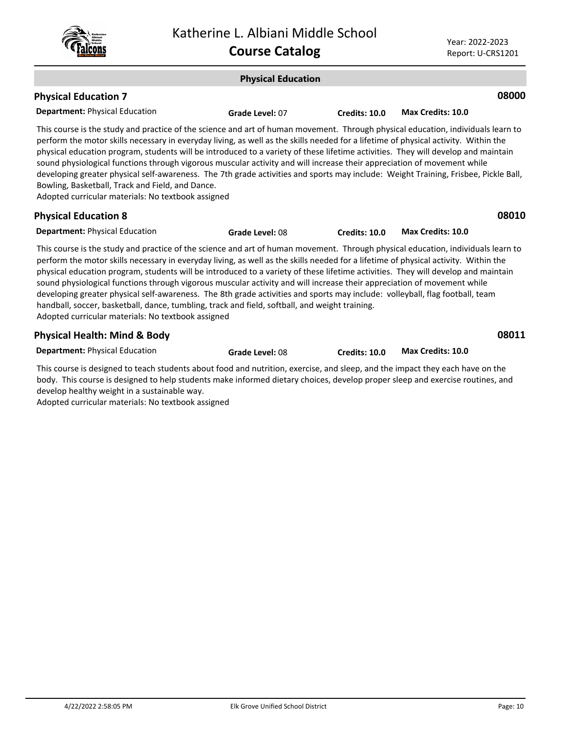| <b>Katherine</b><br>Albiani<br>middle<br>ichool |
|-------------------------------------------------|
|-------------------------------------------------|

| <b>Physical Education</b>                                                                                                                                                                                                                                                                                                                                                                                                                                                                                                                                                                                                                                                                                                                                                                                                       |                 |                      |                          |  |  |
|---------------------------------------------------------------------------------------------------------------------------------------------------------------------------------------------------------------------------------------------------------------------------------------------------------------------------------------------------------------------------------------------------------------------------------------------------------------------------------------------------------------------------------------------------------------------------------------------------------------------------------------------------------------------------------------------------------------------------------------------------------------------------------------------------------------------------------|-----------------|----------------------|--------------------------|--|--|
| <b>Physical Education 7</b>                                                                                                                                                                                                                                                                                                                                                                                                                                                                                                                                                                                                                                                                                                                                                                                                     |                 |                      | 08000                    |  |  |
| <b>Department: Physical Education</b>                                                                                                                                                                                                                                                                                                                                                                                                                                                                                                                                                                                                                                                                                                                                                                                           | Grade Level: 07 | <b>Credits: 10.0</b> | Max Credits: 10.0        |  |  |
| This course is the study and practice of the science and art of human movement. Through physical education, individuals learn to<br>perform the motor skills necessary in everyday living, as well as the skills needed for a lifetime of physical activity. Within the<br>physical education program, students will be introduced to a variety of these lifetime activities. They will develop and maintain<br>sound physiological functions through vigorous muscular activity and will increase their appreciation of movement while<br>developing greater physical self-awareness. The 7th grade activities and sports may include: Weight Training, Frisbee, Pickle Ball,<br>Bowling, Basketball, Track and Field, and Dance.<br>Adopted curricular materials: No textbook assigned                                        |                 |                      |                          |  |  |
| <b>Physical Education 8</b>                                                                                                                                                                                                                                                                                                                                                                                                                                                                                                                                                                                                                                                                                                                                                                                                     |                 |                      | 08010                    |  |  |
| <b>Department: Physical Education</b>                                                                                                                                                                                                                                                                                                                                                                                                                                                                                                                                                                                                                                                                                                                                                                                           | Grade Level: 08 | Credits: 10.0        | Max Credits: 10.0        |  |  |
| This course is the study and practice of the science and art of human movement. Through physical education, individuals learn to<br>perform the motor skills necessary in everyday living, as well as the skills needed for a lifetime of physical activity. Within the<br>physical education program, students will be introduced to a variety of these lifetime activities. They will develop and maintain<br>sound physiological functions through vigorous muscular activity and will increase their appreciation of movement while<br>developing greater physical self-awareness. The 8th grade activities and sports may include: volleyball, flag football, team<br>handball, soccer, basketball, dance, tumbling, track and field, softball, and weight training.<br>Adopted curricular materials: No textbook assigned |                 |                      |                          |  |  |
| <b>Physical Health: Mind &amp; Body</b>                                                                                                                                                                                                                                                                                                                                                                                                                                                                                                                                                                                                                                                                                                                                                                                         |                 |                      | 08011                    |  |  |
| <b>Department: Physical Education</b>                                                                                                                                                                                                                                                                                                                                                                                                                                                                                                                                                                                                                                                                                                                                                                                           | Grade Level: 08 | Credits: 10.0        | <b>Max Credits: 10.0</b> |  |  |

This course is designed to teach students about food and nutrition, exercise, and sleep, and the impact they each have on the body. This course is designed to help students make informed dietary choices, develop proper sleep and exercise routines, and develop healthy weight in a sustainable way.

Adopted curricular materials: No textbook assigned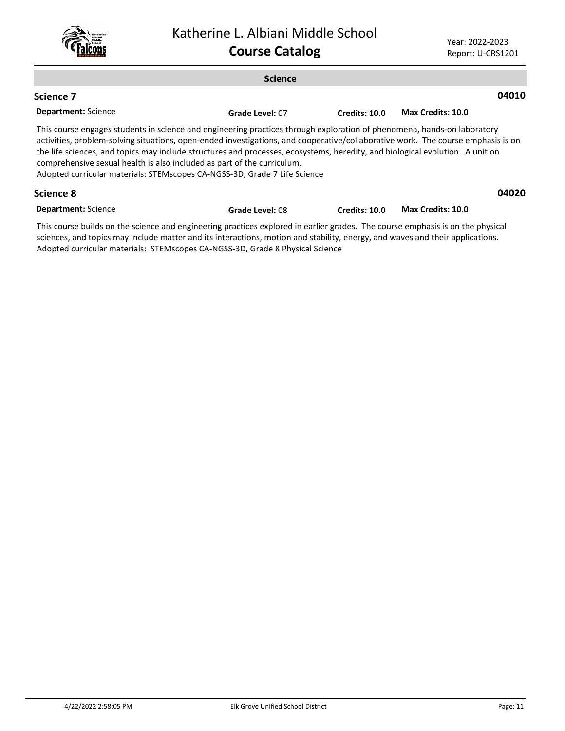

### **Science Department:** Science **04010** This course engages students in science and engineering practices through exploration of phenomena, hands-on laboratory activities, problem-solving situations, open-ended investigations, and cooperative/collaborative work. The course emphasis is on the life sciences, and topics may include structures and processes, ecosystems, heredity, and biological evolution. A unit on comprehensive sexual health is also included as part of the curriculum. Adopted curricular materials: STEMscopes CA-NGSS-3D, Grade 7 Life Science **Science 7 Grade Level:** 07 **Credits: 10.0 Max Credits: 10.0 04020 Science 8**

**Department:** Science **Grade Level:** 08 **Credits: 10.0 Max Credits: 10.0**

This course builds on the science and engineering practices explored in earlier grades. The course emphasis is on the physical sciences, and topics may include matter and its interactions, motion and stability, energy, and waves and their applications. Adopted curricular materials: STEMscopes CA-NGSS-3D, Grade 8 Physical Science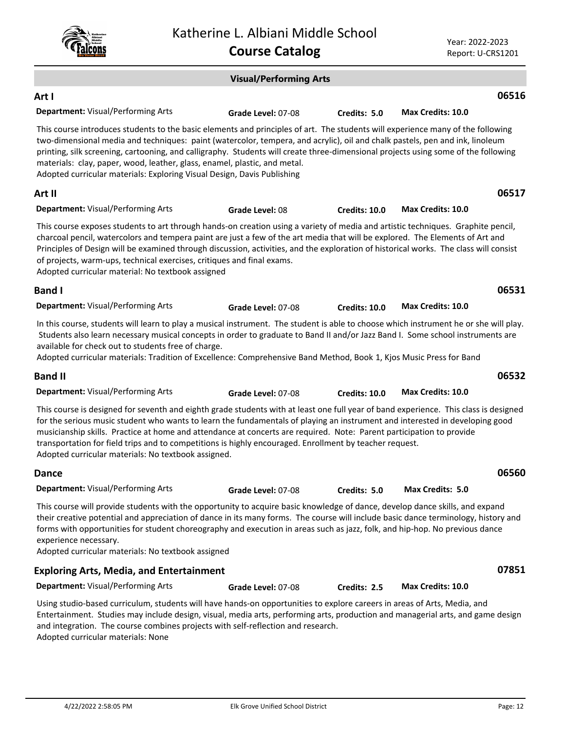|                                                                                                                                                                                                                                                                                                                                                                                                                                                                                                                                                                | Katherine L. Albiani Middle School<br><b>Course Catalog</b> |                      | Year: 2022-2023          | Report: U-CRS1201 |  |
|----------------------------------------------------------------------------------------------------------------------------------------------------------------------------------------------------------------------------------------------------------------------------------------------------------------------------------------------------------------------------------------------------------------------------------------------------------------------------------------------------------------------------------------------------------------|-------------------------------------------------------------|----------------------|--------------------------|-------------------|--|
| <b>Visual/Performing Arts</b>                                                                                                                                                                                                                                                                                                                                                                                                                                                                                                                                  |                                                             |                      |                          |                   |  |
| Art I                                                                                                                                                                                                                                                                                                                                                                                                                                                                                                                                                          |                                                             |                      |                          | 06516             |  |
| Department: Visual/Performing Arts                                                                                                                                                                                                                                                                                                                                                                                                                                                                                                                             | Grade Level: 07-08                                          | Credits: 5.0         | Max Credits: 10.0        |                   |  |
| This course introduces students to the basic elements and principles of art. The students will experience many of the following<br>two-dimensional media and techniques: paint (watercolor, tempera, and acrylic), oil and chalk pastels, pen and ink, linoleum<br>printing, silk screening, cartooning, and calligraphy. Students will create three-dimensional projects using some of the following<br>materials: clay, paper, wood, leather, glass, enamel, plastic, and metal.<br>Adopted curricular materials: Exploring Visual Design, Davis Publishing  |                                                             |                      |                          |                   |  |
| Art II                                                                                                                                                                                                                                                                                                                                                                                                                                                                                                                                                         |                                                             |                      |                          | 06517             |  |
| <b>Department: Visual/Performing Arts</b>                                                                                                                                                                                                                                                                                                                                                                                                                                                                                                                      | Grade Level: 08                                             | Credits: 10.0        | Max Credits: 10.0        |                   |  |
| This course exposes students to art through hands-on creation using a variety of media and artistic techniques. Graphite pencil,<br>charcoal pencil, watercolors and tempera paint are just a few of the art media that will be explored. The Elements of Art and<br>Principles of Design will be examined through discussion, activities, and the exploration of historical works. The class will consist<br>of projects, warm-ups, technical exercises, critiques and final exams.<br>Adopted curricular material: No textbook assigned                      |                                                             |                      |                          |                   |  |
| <b>Band I</b>                                                                                                                                                                                                                                                                                                                                                                                                                                                                                                                                                  |                                                             |                      |                          | 06531             |  |
| Department: Visual/Performing Arts                                                                                                                                                                                                                                                                                                                                                                                                                                                                                                                             | Grade Level: 07-08                                          | <b>Credits: 10.0</b> | <b>Max Credits: 10.0</b> |                   |  |
| In this course, students will learn to play a musical instrument. The student is able to choose which instrument he or she will play.<br>Students also learn necessary musical concepts in order to graduate to Band II and/or Jazz Band I. Some school instruments are<br>available for check out to students free of charge.<br>Adopted curricular materials: Tradition of Excellence: Comprehensive Band Method, Book 1, Kjos Music Press for Band                                                                                                          |                                                             |                      |                          |                   |  |
| <b>Band II</b>                                                                                                                                                                                                                                                                                                                                                                                                                                                                                                                                                 |                                                             |                      |                          | 06532             |  |
| Department: Visual/Performing Arts                                                                                                                                                                                                                                                                                                                                                                                                                                                                                                                             | Grade Level: 07-08                                          | <b>Credits: 10.0</b> | <b>Max Credits: 10.0</b> |                   |  |
| This course is designed for seventh and eighth grade students with at least one full year of band experience. This class is designed<br>for the serious music student who wants to learn the fundamentals of playing an instrument and interested in developing good<br>musicianship skills. Practice at home and attendance at concerts are required. Note: Parent participation to provide<br>transportation for field trips and to competitions is highly encouraged. Enrollment by teacher request.<br>Adopted curricular materials: No textbook assigned. |                                                             |                      |                          |                   |  |
| <b>Dance</b>                                                                                                                                                                                                                                                                                                                                                                                                                                                                                                                                                   |                                                             |                      |                          | 06560             |  |
| <b>Department: Visual/Performing Arts</b>                                                                                                                                                                                                                                                                                                                                                                                                                                                                                                                      | Grade Level: 07-08                                          | Credits: 5.0         | <b>Max Credits: 5.0</b>  |                   |  |
| This course will provide students with the opportunity to acquire basic knowledge of dance, develop dance skills, and expand<br>their creative potential and appreciation of dance in its many forms. The course will include basic dance terminology, history and<br>forms with opportunities for student choreography and execution in areas such as jazz, folk, and hip-hop. No previous dance<br>experience necessary.<br>Adopted curricular materials: No textbook assigned                                                                               |                                                             |                      |                          |                   |  |
| <b>Exploring Arts, Media, and Entertainment</b>                                                                                                                                                                                                                                                                                                                                                                                                                                                                                                                |                                                             |                      |                          | 07851             |  |
| Department: Visual/Performing Arts                                                                                                                                                                                                                                                                                                                                                                                                                                                                                                                             | Grade Level: 07-08                                          | Credits: 2.5         | Max Credits: 10.0        |                   |  |
| Using studio-based curriculum, students will have hands-on opportunities to explore careers in areas of Arts, Media, and                                                                                                                                                                                                                                                                                                                                                                                                                                       |                                                             |                      |                          |                   |  |

Entertainment. Studies may include design, visual, media arts, performing arts, production and managerial arts, and game design and integration. The course combines projects with self-reflection and research. Adopted curricular materials: None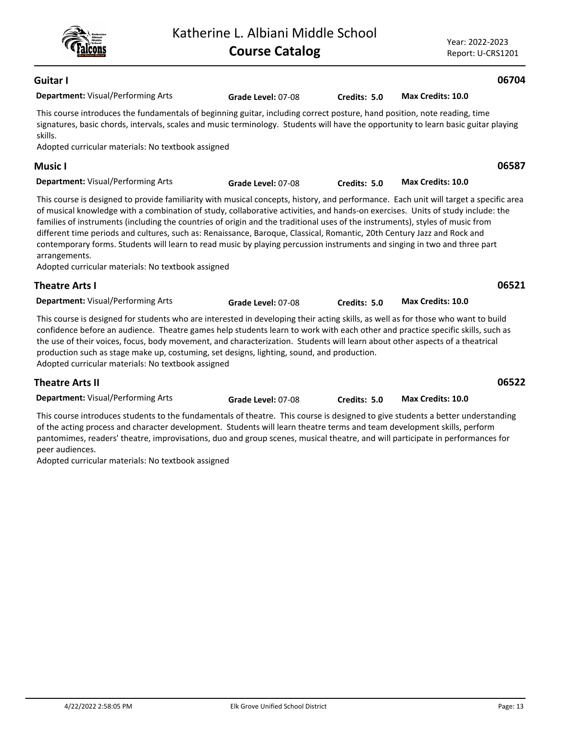| Guitar I                                                                                                                                                                                                                                                                                                                                                                                                                                                                                                                                                                                        |                    |              |                          | 06704 |
|-------------------------------------------------------------------------------------------------------------------------------------------------------------------------------------------------------------------------------------------------------------------------------------------------------------------------------------------------------------------------------------------------------------------------------------------------------------------------------------------------------------------------------------------------------------------------------------------------|--------------------|--------------|--------------------------|-------|
| <b>Department:</b> Visual/Performing Arts                                                                                                                                                                                                                                                                                                                                                                                                                                                                                                                                                       | Grade Level: 07-08 | Credits: 5.0 | Max Credits: 10.0        |       |
| This course introduces the fundamentals of beginning guitar, including correct posture, hand position, note reading, time<br>signatures, basic chords, intervals, scales and music terminology. Students will have the opportunity to learn basic guitar playing<br>skills.<br>Adopted curricular materials: No textbook assigned                                                                                                                                                                                                                                                               |                    |              |                          |       |
| Music I                                                                                                                                                                                                                                                                                                                                                                                                                                                                                                                                                                                         |                    |              |                          | 06587 |
| <b>Department: Visual/Performing Arts</b>                                                                                                                                                                                                                                                                                                                                                                                                                                                                                                                                                       | Grade Level: 07-08 | Credits: 5.0 | <b>Max Credits: 10.0</b> |       |
| of musical knowledge with a combination of study, collaborative activities, and hands-on exercises. Units of study include: the<br>families of instruments (including the countries of origin and the traditional uses of the instruments), styles of music from<br>different time periods and cultures, such as: Renaissance, Baroque, Classical, Romantic, 20th Century Jazz and Rock and<br>contemporary forms. Students will learn to read music by playing percussion instruments and singing in two and three part<br>arrangements.<br>Adopted curricular materials: No textbook assigned |                    |              |                          |       |
| <b>Theatre Arts I</b>                                                                                                                                                                                                                                                                                                                                                                                                                                                                                                                                                                           |                    |              |                          | 06521 |
| Department: Visual/Performing Arts                                                                                                                                                                                                                                                                                                                                                                                                                                                                                                                                                              | Grade Level: 07-08 | Credits: 5.0 | Max Credits: 10.0        |       |
| This course is designed for students who are interested in developing their acting skills, as well as for those who want to build<br>confidence before an audience. Theatre games help students learn to work with each other and practice specific skills, such as<br>the use of their voices, focus, body movement, and characterization. Students will learn about other aspects of a theatrical<br>production such as stage make up, costuming, set designs, lighting, sound, and production.                                                                                               |                    |              |                          |       |

Katherine L. Albiani Middle School

**Course Catalog**

Adopted curricular materials: No textbook assigned

## **Theatre Arts II**

| <b>Department: Visual/Performing Arts</b> |
|-------------------------------------------|
|                                           |

This course introduces students to the fundamentals of theatre. This course is designed to give students a better understanding of the acting process and character development. Students will learn theatre terms and team development skills, perform pantomimes, readers' theatre, improvisations, duo and group scenes, musical theatre, and will participate in performances for peer audiences.

Adopted curricular materials: No textbook assigned



**06522**

**Grade Level:** 07-08 **Credits: 5.0 Max Credits: 10.0**